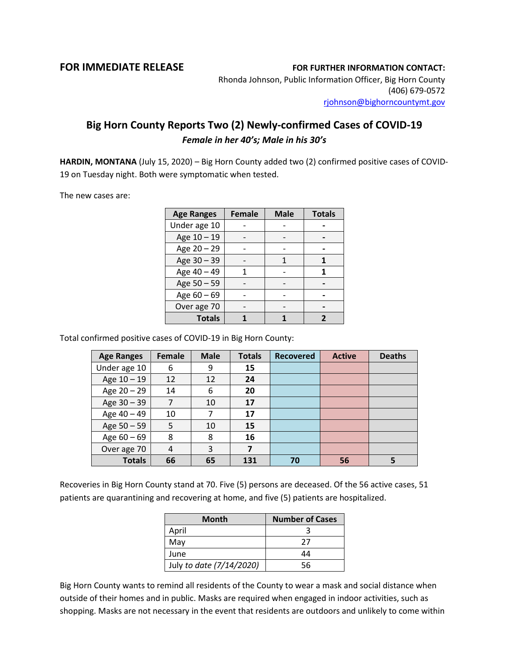## **FOR IMMEDIATE RELEASE FOR FURTHER INFORMATION CONTACT:**

Rhonda Johnson, Public Information Officer, Big Horn County (406) 679-0572 [rjohnson@bighorncountymt.gov](mailto:rjohnson@bighorncountymt.gov)

## **Big Horn County Reports Two (2) Newly-confirmed Cases of COVID-19**  *Female in her 40's; Male in his 30's*

**HARDIN, MONTANA** (July 15, 2020) – Big Horn County added two (2) confirmed positive cases of COVID-19 on Tuesday night. Both were symptomatic when tested.

The new cases are:

| <b>Age Ranges</b> | <b>Female</b> | <b>Male</b> | <b>Totals</b> |  |
|-------------------|---------------|-------------|---------------|--|
| Under age 10      |               |             |               |  |
| Age 10 - 19       |               |             |               |  |
| Age 20 - 29       |               |             |               |  |
| Age 30 - 39       |               |             |               |  |
| Age 40 - 49       |               |             |               |  |
| Age 50 - 59       |               |             |               |  |
| Age 60 - 69       |               |             |               |  |
| Over age 70       |               |             |               |  |
| <b>Totals</b>     |               |             |               |  |

Total confirmed positive cases of COVID-19 in Big Horn County:

| <b>Age Ranges</b> | Female | <b>Male</b> | <b>Totals</b> | <b>Recovered</b> | <b>Active</b> | <b>Deaths</b> |
|-------------------|--------|-------------|---------------|------------------|---------------|---------------|
| Under age 10      | 6      | 9           | 15            |                  |               |               |
| Age 10 - 19       | 12     | 12          | 24            |                  |               |               |
| Age 20 - 29       | 14     | 6           | 20            |                  |               |               |
| Age 30 - 39       | 7      | 10          | 17            |                  |               |               |
| Age 40 - 49       | 10     | 7           | 17            |                  |               |               |
| Age 50 - 59       | 5      | 10          | 15            |                  |               |               |
| Age $60 - 69$     | 8      | 8           | 16            |                  |               |               |
| Over age 70       | 4      | 3           | 7             |                  |               |               |
| <b>Totals</b>     | 66     | 65          | 131           | 70               | 56            |               |

Recoveries in Big Horn County stand at 70. Five (5) persons are deceased. Of the 56 active cases, 51 patients are quarantining and recovering at home, and five (5) patients are hospitalized.

| Month                    | <b>Number of Cases</b> |  |  |
|--------------------------|------------------------|--|--|
| April                    |                        |  |  |
| May                      | 27                     |  |  |
| June                     | 44                     |  |  |
| July to date (7/14/2020) | 56                     |  |  |

Big Horn County wants to remind all residents of the County to wear a mask and social distance when outside of their homes and in public. Masks are required when engaged in indoor activities, such as shopping. Masks are not necessary in the event that residents are outdoors and unlikely to come within